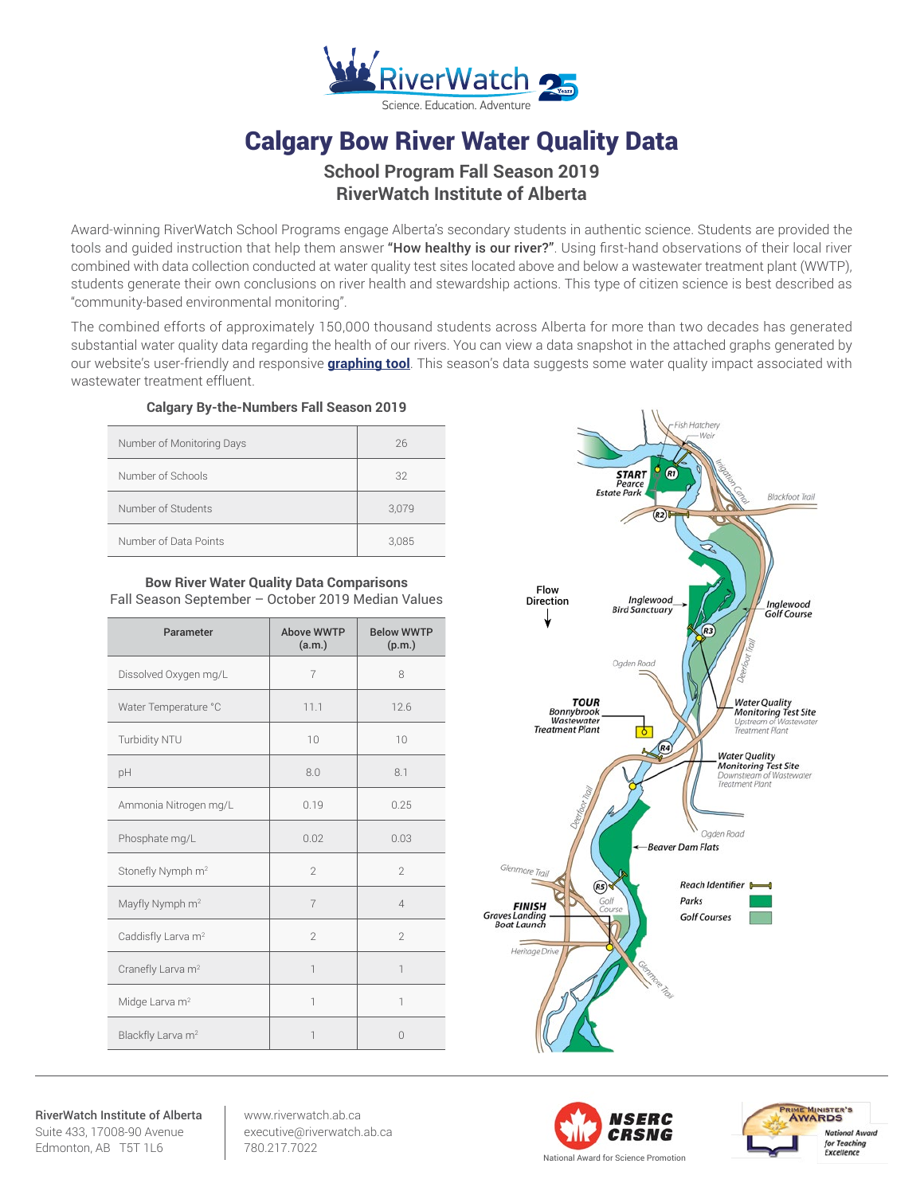

# Calgary Bow River Water Quality Data

## **School Program Fall Season 2019 RiverWatch Institute of Alberta**

Award-winning RiverWatch School Programs engage Alberta's secondary students in authentic science. Students are provided the tools and quided instruction that help them answer "How healthy is our river?". Using first-hand observations of their local river combined with data collection conducted at water quality test sites located above and below a wastewater treatment plant (WWTP), students generate their own conclusions on river health and stewardship actions. This type of citizen science is best described as "community-based environmental monitoring".

The combined efforts of approximately 150,000 thousand students across Alberta for more than two decades has generated substantial water quality data regarding the health of our rivers. You can view a data snapshot in the attached graphs generated by our website's user-friendly and responsive **[graphing tool](http://www.riverwatch.ab.ca/index.php/science/data)**. This season's data suggests some water quality impact associated with wastewater treatment effluent.

## **Calgary By-the-Numbers Fall Season 2019**

| Number of Monitoring Days | 26    |
|---------------------------|-------|
| Number of Schools         | 32    |
| Number of Students        | 3,079 |
| Number of Data Points     | 3,085 |

### **Bow River Water Quality Data Comparisons** Fall Season September – October 2019 Median Values

| Parameter                      | <b>Above WWTP</b><br>(a.m.) | <b>Below WWTP</b><br>(p.m.) |
|--------------------------------|-----------------------------|-----------------------------|
| Dissolved Oxygen mg/L          | $\overline{7}$              | 8                           |
| Water Temperature °C           | 11.1                        | 12.6                        |
| Turbidity NTU                  | 10                          | 10                          |
| pH                             | 8.0                         | 8.1                         |
| Ammonia Nitrogen mg/L          | 0.19                        | 0.25                        |
| Phosphate mg/L                 | 0.02                        | 0.03                        |
| Stonefly Nymph m <sup>2</sup>  | $\mathfrak{D}$              | $\mathcal{P}$               |
| Mayfly Nymph m <sup>2</sup>    | $\overline{7}$              | $\overline{4}$              |
| Caddisfly Larva m <sup>2</sup> | $\mathfrak{D}$              | $\mathfrak{D}$              |
| Cranefly Larva m <sup>2</sup>  | $\overline{1}$              | $\overline{\phantom{a}}$    |
| Midge Larva m <sup>2</sup>     | 1                           | 1                           |
| Blackfly Larva m <sup>2</sup>  | $\overline{\phantom{a}}$    | $\Omega$                    |



RiverWatch Institute of Alberta Suite 433, 17008-90 Avenue Edmonton, AB T5T 1L6

www.riverwatch.ab.ca executive@riverwatch.ab.ca 780.217.7022



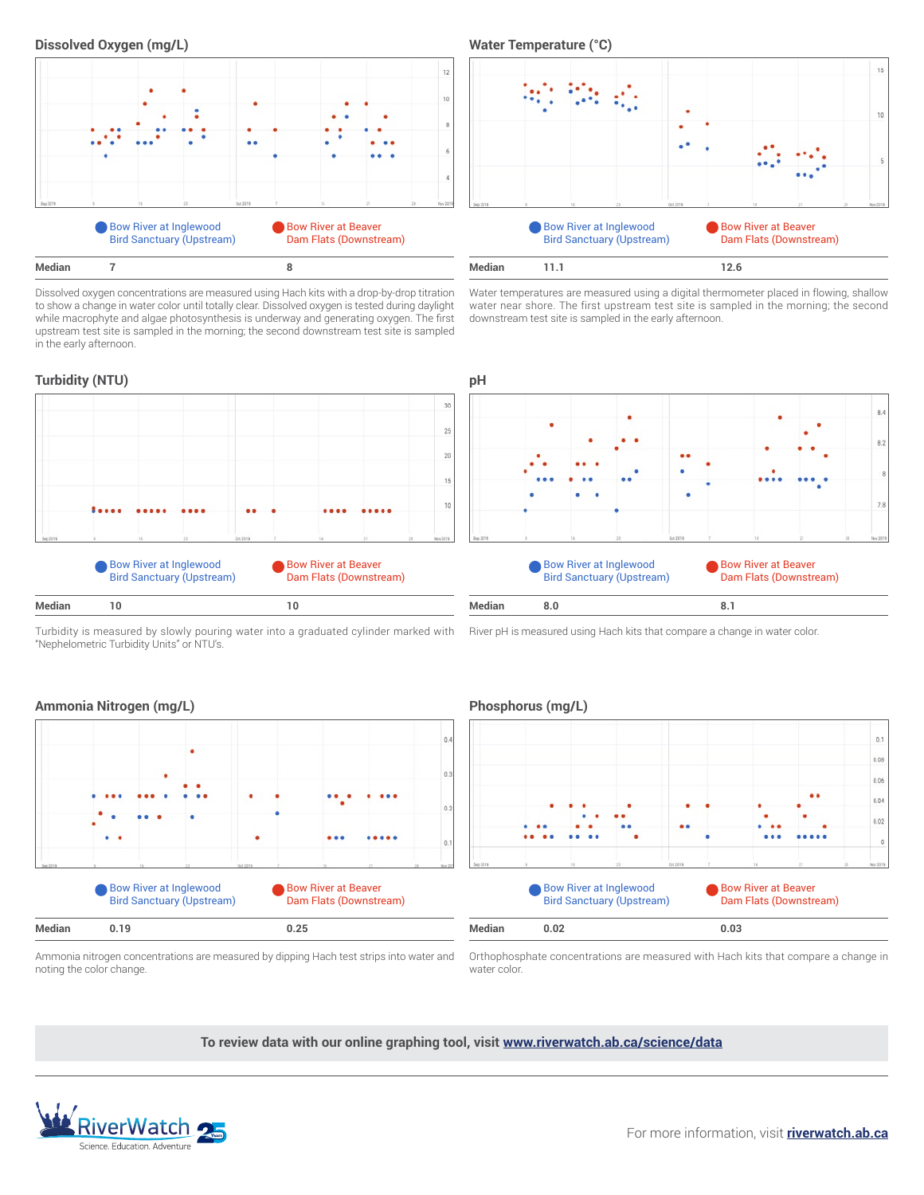



Dissolved oxygen concentrations are measured using Hach kits with a drop-by-drop titration to show a change in water color until totally clear. Dissolved oxygen is tested during daylight while macrophyte and algae photosynthesis is underway and generating oxygen. The first upstream test site is sampled in the morning; the second downstream test site is sampled in the early afternoon.



Water temperatures are measured using a digital thermometer placed in flowing, shallow water near shore. The first upstream test site is sampled in the morning; the second downstream test site is sampled in the early afternoon.



Turbidity is measured by slowly pouring water into a graduated cylinder marked with "Nephelometric Turbidity Units" or NTU's.

River pH is measured using Hach kits that compare a change in water color.





Ammonia nitrogen concentrations are measured by dipping Hach test strips into water and noting the color change.

Orthophosphate concentrations are measured with Hach kits that compare a change in water color.

**To review data with our online graphing tool, visit <www.riverwatch.ab.ca/science/data>**